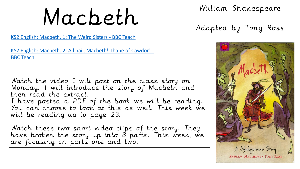# Macbeth William Shakespeare

# Adapted by Tony Ross

[KS2 English: Macbeth. 1: The Weird Sisters -](https://www.bbc.co.uk/teach/class-clips-video/english-ks2-macbeth-ep1/zfqv8xs) BBC Teach

[KS2 English: Macbeth. 2: All hail, Macbeth! Thane of Cawdor! -](https://www.bbc.co.uk/teach/class-clips-video/english-ks2-macbeth-ep2/zkx86v4) BBC Teach

Watch the video I will post on the class story on Monday. I will introduce the story of Macbeth and then read the extract. I have posted a PDF of the book we will be reading. You can choose to look at this as well. This week we will be reading up to page 23.

Watch these two short video clips of the story. They have broken the story up into 8 parts. This week, we are focusing on parts one and two.

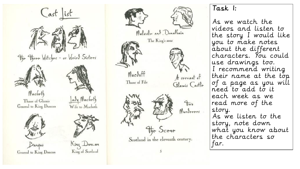



## Task 1:

As we watch the videos and listen to the story I would like you to make notes about the different characters. You could use drawings too. I recommend writing their name at the top of a page as you will need to add to it each week as we read more of the story. As we listen to the story, note down what you know about the characters so far.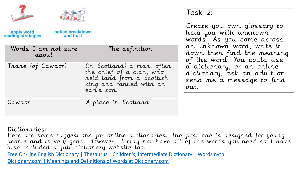| notice breakdown<br>apply word<br>reading strategies<br>and fix it |                                                                                                                               | Task 2:<br>Create you own glossary to<br>help you with unknown                                                                                                                                                       |
|--------------------------------------------------------------------|-------------------------------------------------------------------------------------------------------------------------------|----------------------------------------------------------------------------------------------------------------------------------------------------------------------------------------------------------------------|
| Words I am not sure<br>about                                       | The definition                                                                                                                | words. As you come across<br>an unknown word, write it<br>down then find the meaning<br>of the word. You could use<br>a dictionary, or an online<br>dictionary, ask an adult or<br>send me a message to find<br>out. |
| Thane (of Cawdor)                                                  | (in Scotland) a man, often<br>the chief of a clan, who<br>held land from a Scottish<br>king and ranked with an<br>eart's son. |                                                                                                                                                                                                                      |
| Cawdor                                                             | A place in Scotland                                                                                                           |                                                                                                                                                                                                                      |

#### Dictionaries:

Here are some suggestions for online dictionaries. The first one is designed for young people and is very good. However, it may not have all of the words you need so I have also included a full dictionary website too. [Free On-Line English Dictionary | Thesaurus | Children's, Intermediate Dictionary | Wordsmyth](https://kids.wordsmyth.net/we/)

[Dictionary.com | Meanings and Definitions of Words at Dictionary.com](https://www.dictionary.com/)